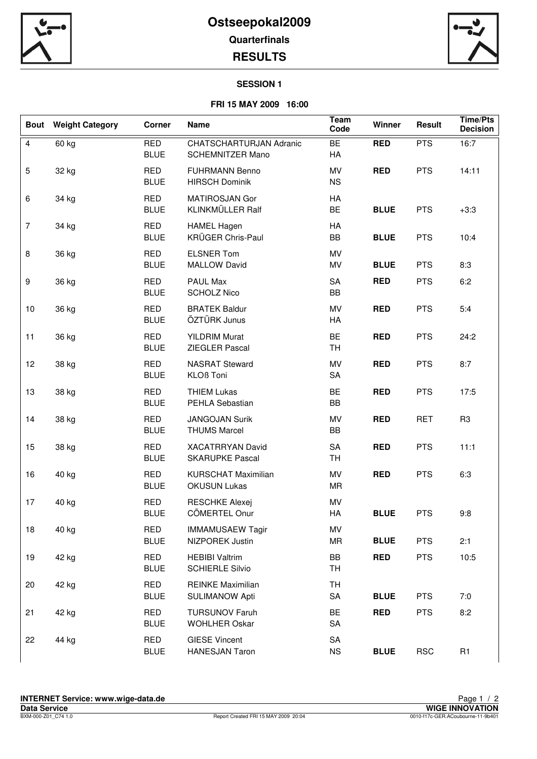



## **SESSION 1**

## **FRI 15 MAY 2009 16:00**

| <b>Bout</b>      | <b>Weight Category</b> | <b>Corner</b>             | <b>Name</b>                                                           | Team<br>Code            | Winner      | Result     | <b>Time/Pts</b><br><b>Decision</b> |
|------------------|------------------------|---------------------------|-----------------------------------------------------------------------|-------------------------|-------------|------------|------------------------------------|
| $\overline{4}$   | 60 kg                  | <b>RED</b><br><b>BLUE</b> | CHATSCHARTURJAN Adranic<br><b>BE</b><br><b>SCHEMNITZER Mano</b><br>HA |                         | <b>RED</b>  | <b>PTS</b> | 16:7                               |
| $\overline{5}$   | 32 kg                  | <b>RED</b><br><b>BLUE</b> | <b>FUHRMANN Benno</b><br><b>HIRSCH Dominik</b>                        | MV<br><b>NS</b>         | <b>RED</b>  | <b>PTS</b> | 14:11                              |
| 6                | 34 kg                  | <b>RED</b><br><b>BLUE</b> | MATIROSJAN Gor<br>KLINKMÜLLER Ralf                                    | HA<br><b>BE</b>         | <b>BLUE</b> | <b>PTS</b> | $+3:3$                             |
| $\overline{7}$   | 34 kg                  | <b>RED</b><br><b>BLUE</b> | <b>HAMEL Hagen</b><br>KRÜGER Chris-Paul                               | HA<br>BB<br><b>BLUE</b> |             | <b>PTS</b> | 10:4                               |
| $\, 8$           | 36 kg                  | <b>RED</b><br><b>BLUE</b> | <b>ELSNER Tom</b><br><b>MALLOW David</b>                              | MV<br>MV                | <b>BLUE</b> | <b>PTS</b> | 8:3                                |
| $\boldsymbol{9}$ | 36 kg                  | <b>RED</b><br><b>BLUE</b> | PAUL Max<br><b>SCHOLZ Nico</b>                                        | SA<br>BB                | <b>RED</b>  |            | 6:2                                |
| 10               | 36 kg                  | <b>RED</b><br><b>BLUE</b> | <b>BRATEK Baldur</b><br>ÖZTÜRK Junus                                  | MV<br>HA                | <b>RED</b>  | <b>PTS</b> | 5:4                                |
| 11               | 36 kg                  | <b>RED</b><br><b>BLUE</b> | <b>YILDRIM Murat</b><br>ZIEGLER Pascal                                | <b>BE</b><br><b>TH</b>  | <b>RED</b>  | <b>PTS</b> | 24:2                               |
| 12               | 38 kg                  | <b>RED</b><br><b>BLUE</b> | <b>NASRAT Steward</b><br><b>KLOß Toni</b>                             | MV<br>SA                | <b>RED</b>  | <b>PTS</b> | 8:7                                |
| 13               | 38 kg                  | <b>RED</b><br><b>BLUE</b> | <b>THIEM Lukas</b><br>PEHLA Sebastian                                 | BE<br>BB                | <b>RED</b>  | <b>PTS</b> | 17:5                               |
| 14               | 38 kg                  | <b>RED</b><br><b>BLUE</b> | <b>JANGOJAN Surik</b><br><b>THUMS Marcel</b>                          | MV<br>BB                | <b>RED</b>  | <b>RET</b> | R <sub>3</sub>                     |
| 15               | 38 kg                  | <b>RED</b><br><b>BLUE</b> | <b>XACATRRYAN David</b><br><b>SKARUPKE Pascal</b>                     | <b>SA</b><br><b>TH</b>  | <b>RED</b>  | <b>PTS</b> | 11:1                               |
| 16               | 40 kg                  | <b>RED</b><br><b>BLUE</b> | <b>KURSCHAT Maximilian</b><br><b>OKUSUN Lukas</b>                     | MV<br>MR                | <b>RED</b>  | <b>PTS</b> | 6:3                                |
| 17               | 40 kg                  | <b>RED</b><br><b>BLUE</b> | <b>RESCHKE Alexej</b><br>CÖMERTEL Onur                                | MV<br>HA                | <b>BLUE</b> | <b>PTS</b> | 9:8                                |
| 18               | 40 kg                  | <b>RED</b><br><b>BLUE</b> | <b>IMMAMUSAEW Tagir</b><br>NIZPOREK Justin                            | MV<br>MR                | <b>BLUE</b> | <b>PTS</b> | 2:1                                |
| 19               | 42 kg                  | RED<br><b>BLUE</b>        | <b>HEBIBI Valtrim</b><br><b>SCHIERLE Silvio</b>                       | BB<br><b>TH</b>         | <b>RED</b>  | <b>PTS</b> | 10:5                               |
| 20               | 42 kg                  | <b>RED</b><br><b>BLUE</b> | <b>REINKE Maximilian</b><br><b>SULIMANOW Apti</b>                     | <b>TH</b><br>SA         | <b>BLUE</b> | <b>PTS</b> | 7:0                                |
| 21               | 42 kg                  | RED<br><b>BLUE</b>        | <b>TURSUNOV Faruh</b><br><b>WOHLHER Oskar</b>                         | <b>BE</b><br>SA         | <b>RED</b>  | <b>PTS</b> | 8:2                                |
| 22               | 44 kg                  | RED<br><b>BLUE</b>        | <b>GIESE Vincent</b><br><b>HANESJAN Taron</b>                         | SA<br><b>NS</b>         | <b>BLUE</b> | <b>RSC</b> | R <sub>1</sub>                     |
|                  |                        |                           |                                                                       |                         |             |            |                                    |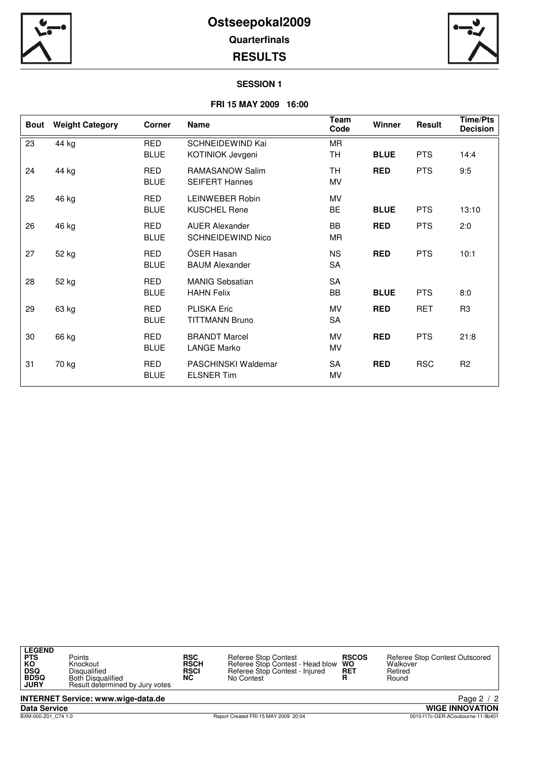



#### **SESSION 1**

## **FRI 15 MAY 2009 16:00**

| <b>Bout</b> | <b>Weight Category</b> | <b>Corner</b>             | <b>Name</b>                                                         | Team<br>Code           | Winner      | Result     | <b>Time/Pts</b><br><b>Decision</b> |
|-------------|------------------------|---------------------------|---------------------------------------------------------------------|------------------------|-------------|------------|------------------------------------|
| 23          | 44 kg                  | <b>RED</b><br><b>BLUE</b> | SCHNEIDEWIND Kai<br>KOTINIOK Jevgeni                                | <b>MR</b><br><b>TH</b> | <b>BLUE</b> | <b>PTS</b> | 14:4                               |
| 24          | 44 kg                  | <b>RED</b><br><b>BLUE</b> | TH.<br><b>RED</b><br>RAMASANOW Salim<br><b>SEIFERT Hannes</b><br>MV |                        | <b>PTS</b>  | 9:5        |                                    |
| 25          | 46 kg                  | <b>RED</b><br><b>BLUE</b> | LEINWEBER Robin<br><b>KUSCHEL Rene</b>                              | MV<br>BE               | <b>BLUE</b> | <b>PTS</b> | 13:10                              |
| 26          | 46 kg                  | <b>RED</b><br><b>BLUE</b> | <b>AUER Alexander</b><br><b>SCHNEIDEWIND Nico</b>                   | BB<br>MR               | <b>RED</b>  | <b>PTS</b> | 2:0                                |
| 27          | 52 kg                  | RED<br><b>BLUE</b>        | ÖSER Hasan<br><b>BAUM Alexander</b>                                 | <b>NS</b><br>SA        | <b>RED</b>  | <b>PTS</b> | 10:1                               |
| 28          | 52 kg                  | <b>RED</b><br><b>BLUE</b> | <b>MANIG Sebsatian</b><br><b>HAHN Felix</b>                         | SA<br>BB               | <b>BLUE</b> | <b>PTS</b> | 8:0                                |
| 29          | 63 kg                  | <b>RED</b><br><b>BLUE</b> | <b>PLISKA Eric</b><br><b>TITTMANN Bruno</b>                         | MV<br>SA               | <b>RED</b>  | <b>RET</b> | R <sub>3</sub>                     |
| 30          | 66 kg                  | <b>RED</b><br><b>BLUE</b> | <b>BRANDT Marcel</b><br>LANGE Marko                                 | MV<br>MV               | <b>RED</b>  | <b>PTS</b> | 21:8                               |
| 31          | 70 kg                  | <b>RED</b><br><b>BLUE</b> | <b>PASCHINSKI Waldemar</b><br><b>ELSNER Tim</b>                     | SA<br>MV               | <b>RED</b>  | <b>RSC</b> | R <sub>2</sub>                     |

| <b>LEGEND</b><br><b>PTS</b><br>КO<br><b>DSQ</b><br><b>BDSQ</b><br><b>JURY</b> | Points<br>Knockout<br>Disqualified<br><b>Both Disqualified</b><br>Result determined by Jury votes | <b>RSC</b><br><b>RSCH</b><br><b>RSCI</b><br>NС | Referee Stop Contest<br>Referee Stop Contest - Head blow WO<br>Referee Stop Contest - Injured<br>No Contest | <b>RSCOS</b><br><b>RET</b> | Referee Stop Contest Outscored<br>Walkover<br>Retired<br>Round |
|-------------------------------------------------------------------------------|---------------------------------------------------------------------------------------------------|------------------------------------------------|-------------------------------------------------------------------------------------------------------------|----------------------------|----------------------------------------------------------------|
|                                                                               | <b>INTERNET Service: www.wige-data.de</b>                                                         |                                                |                                                                                                             |                            | Page 2 / 2                                                     |
| <b>Data Service</b>                                                           |                                                                                                   |                                                |                                                                                                             |                            | <b>WIGE INNOVATION</b>                                         |
| BXM-000-Z01 C74 1.0                                                           |                                                                                                   |                                                | Report Created FRI 15 MAY 2009 20:04                                                                        |                            | 0010-f17c-GER.ACoubourne-11-9b401                              |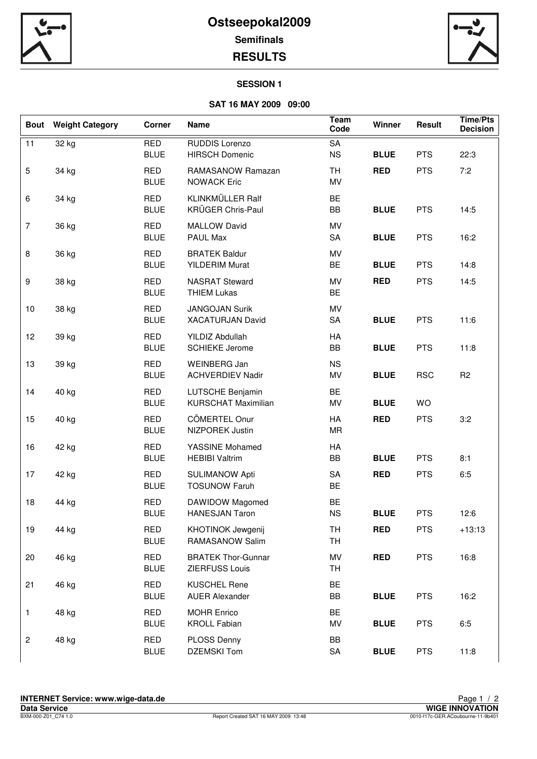

# **Ostseepokal2009 Semifinals RESULTS**



## **SESSION 1**

# **SAT 16 MAY 2009 09:00**

| 11<br><b>RED</b><br>RUDDIS Lorenzo<br>SA<br>32 kg<br><b>BLUE</b><br><b>NS</b><br><b>HIRSCH Domenic</b><br><b>BLUE</b><br><b>PTS</b><br>$\mathbf 5$<br><b>TH</b><br><b>RED</b><br><b>PTS</b><br>34 kg<br><b>RED</b><br>RAMASANOW Ramazan | 22:3<br>7:2    |
|-----------------------------------------------------------------------------------------------------------------------------------------------------------------------------------------------------------------------------------------|----------------|
|                                                                                                                                                                                                                                         |                |
| <b>BLUE</b><br>MV<br><b>NOWACK Eric</b>                                                                                                                                                                                                 |                |
| KLINKMÜLLER Ralf<br><b>RED</b><br><b>BE</b><br>$\,6\,$<br>34 kg<br>KRÜGER Chris-Paul<br>BB<br><b>PTS</b><br><b>BLUE</b><br><b>BLUE</b>                                                                                                  | 14:5           |
| $\overline{7}$<br>36 kg<br><b>RED</b><br><b>MALLOW David</b><br>MV<br><b>PTS</b><br><b>BLUE</b><br>PAUL Max<br>SA<br><b>BLUE</b>                                                                                                        | 16:2           |
| $\bf 8$<br>36 kg<br><b>RED</b><br><b>BRATEK Baldur</b><br>MV<br><b>BLUE</b><br><b>YILDERIM Murat</b><br><b>BE</b><br><b>BLUE</b><br><b>PTS</b>                                                                                          | 14:8           |
| $\boldsymbol{9}$<br>MV<br><b>RED</b><br><b>PTS</b><br>38 kg<br><b>RED</b><br><b>NASRAT Steward</b><br><b>BE</b><br><b>BLUE</b><br><b>THIEM Lukas</b>                                                                                    | 14:5           |
| <b>RED</b><br>MV<br>10<br>38 kg<br><b>JANGOJAN Surik</b><br>SA<br><b>BLUE</b><br><b>PTS</b><br><b>BLUE</b><br><b>XACATURJAN David</b>                                                                                                   | 11:6           |
| HA<br>12<br>39 kg<br><b>RED</b><br>YILDIZ Abdullah<br><b>SCHIEKE Jerome</b><br><b>BLUE</b><br>BB<br><b>BLUE</b><br><b>PTS</b>                                                                                                           | 11:8           |
| 13<br>39 kg<br><b>RED</b><br>WEINBERG Jan<br><b>NS</b><br><b>BLUE</b><br><b>ACHVERDIEV Nadir</b><br>MV<br><b>BLUE</b><br><b>RSC</b>                                                                                                     | R <sub>2</sub> |
| BE<br>14<br>40 kg<br><b>RED</b><br>LUTSCHE Benjamin<br><b>KURSCHAT Maximilian</b><br><b>BLUE</b><br>MV<br><b>BLUE</b><br>WO                                                                                                             |                |
| <b>RED</b><br>CÖMERTEL Onur<br>HA<br>15<br>40 kg<br><b>RED</b><br><b>PTS</b><br><b>BLUE</b><br>NIZPOREK Justin<br>MR                                                                                                                    | 3:2            |
| HA<br>16<br><b>RED</b><br>YASSINE Mohamed<br>42 kg<br><b>HEBIBI Valtrim</b><br>BB<br><b>BLUE</b><br><b>PTS</b><br><b>BLUE</b>                                                                                                           | 8:1            |
| 17<br>42 kg<br><b>RED</b><br>SA<br><b>RED</b><br><b>PTS</b><br><b>SULIMANOW Apti</b><br><b>BE</b><br><b>BLUE</b><br><b>TOSUNOW Faruh</b>                                                                                                | 6:5            |
| 18<br><b>RED</b><br>DAWIDOW Magomed<br>BE<br>44 kg<br><b>BLUE</b><br><b>HANESJAN Taron</b><br><b>NS</b><br><b>BLUE</b><br><b>PTS</b>                                                                                                    | 12:6           |
| 44 kg<br><b>RED</b><br><b>RED</b><br><b>PTS</b><br>19<br><b>KHOTINOK Jewgenij</b><br>TH<br>RAMASANOW Salim<br><b>TH</b><br><b>BLUE</b>                                                                                                  | $+13:13$       |
| 46 kg<br><b>RED</b><br><b>RED</b><br><b>PTS</b><br>20<br><b>BRATEK Thor-Gunnar</b><br>MV<br><b>BLUE</b><br>ZIERFUSS Louis<br>TH                                                                                                         | 16:8           |
| 46 kg<br>RED<br><b>KUSCHEL Rene</b><br><b>BE</b><br>21<br>BB<br><b>BLUE</b><br><b>PTS</b><br><b>BLUE</b><br><b>AUER Alexander</b>                                                                                                       | 16:2           |
| 48 kg<br><b>RED</b><br><b>MOHR Enrico</b><br>BE<br>$\mathbf{1}$<br><b>BLUE</b><br><b>KROLL Fabian</b><br>MV<br><b>BLUE</b><br><b>PTS</b>                                                                                                | 6:5            |
| <b>RED</b><br>BB<br>$\sqrt{2}$<br>48 kg<br><b>PLOSS Denny</b><br><b>BLUE</b><br><b>DZEMSKI Tom</b><br>SA<br><b>BLUE</b><br><b>PTS</b>                                                                                                   | 11:8           |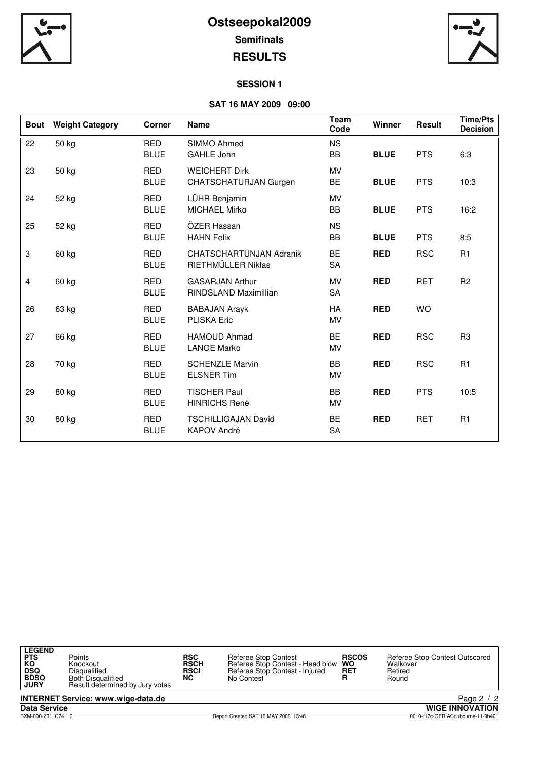



### **SESSION 1**

# **SAT 16 MAY 2009 09:00**

| <b>Bout</b>      | <b>Weight Category</b> | <b>Corner</b>             | Team<br><b>Name</b><br>Code                          |                 | Winner      | <b>Result</b> | <b>Time/Pts</b><br><b>Decision</b> |
|------------------|------------------------|---------------------------|------------------------------------------------------|-----------------|-------------|---------------|------------------------------------|
| 22               | 50 kg                  | <b>RED</b><br><b>BLUE</b> | SIMMO Ahmed<br>GAHLE John                            | <b>NS</b><br>BB | <b>BLUE</b> |               | 6:3                                |
| 23               | 50 kg                  | <b>RED</b><br><b>BLUE</b> | <b>WEICHERT Dirk</b><br>CHATSCHATURJAN Gurgen        | MV<br>BE        | <b>BLUE</b> | <b>PTS</b>    | 10:3                               |
| 24               | 52 kg                  | <b>RED</b><br><b>BLUE</b> | LÜHR Benjamin<br><b>MICHAEL Mirko</b>                | MV<br>BB        | <b>BLUE</b> | <b>PTS</b>    | 16:2                               |
| 25               | 52 kg                  | <b>RED</b><br><b>BLUE</b> | ÖZER Hassan<br><b>HAHN Felix</b>                     | <b>NS</b><br>BB | <b>BLUE</b> | <b>PTS</b>    | 8:5                                |
| $\boldsymbol{3}$ | 60 kg                  | <b>RED</b><br><b>BLUE</b> | <b>CHATSCHARTUNJAN Adranik</b><br>RIETHMÜLLER Niklas | <b>BE</b><br>SA | <b>RED</b>  | <b>RSC</b>    | R1                                 |
| 4                | 60 kg                  | <b>RED</b><br><b>BLUE</b> | <b>GASARJAN Arthur</b><br>RINDSLAND Maximillian      | MV<br>SA        | <b>RED</b>  | <b>RET</b>    | R <sub>2</sub>                     |
| 26               | 63 kg                  | <b>RED</b><br><b>BLUE</b> | <b>BABAJAN Arayk</b><br><b>PLISKA Eric</b>           | HA<br>MV        | <b>RED</b>  | <b>WO</b>     |                                    |
| 27               | 66 kg                  | <b>RED</b><br><b>BLUE</b> | HAMOUD Ahmad<br><b>LANGE Marko</b>                   | <b>BE</b><br>MV | <b>RED</b>  | <b>RSC</b>    | R <sub>3</sub>                     |
| 28               | 70 kg                  | <b>RED</b><br><b>BLUE</b> | <b>SCHENZLE Marvin</b><br><b>ELSNER Tim</b>          | BB<br>MV        | <b>RED</b>  | <b>RSC</b>    | R <sub>1</sub>                     |
| 29               | 80 kg                  | <b>RED</b><br><b>BLUE</b> | <b>TISCHER Paul</b><br><b>HINRICHS René</b>          | BB<br>MV        | <b>RED</b>  | <b>PTS</b>    | 10:5                               |
| 30               | 80 kg                  | <b>RED</b><br><b>BLUE</b> | <b>TSCHILLIGAJAN David</b><br><b>KAPOV André</b>     | <b>BE</b><br>SA | <b>RED</b>  | <b>RET</b>    | R1                                 |

| <b>LEGEND</b><br><b>PTS</b><br>КO<br><b>DSQ</b><br><b>BDSQ</b><br><b>JURY</b> | Points<br>Knockout<br>Disqualified<br><b>Both Disqualified</b><br>Result determined by Jury votes | <b>RSC</b><br><b>RSCH</b><br><b>RSCI</b><br>NC. | <b>Referee Stop Contest</b><br>Referee Stop Contest - Head blow WO<br>Referee Stop Contest - Injured<br>No Contest | <b>RSCOS</b><br><b>RET</b> | Referee Stop Contest Outscored<br>Walkover<br>Retired<br>Round |
|-------------------------------------------------------------------------------|---------------------------------------------------------------------------------------------------|-------------------------------------------------|--------------------------------------------------------------------------------------------------------------------|----------------------------|----------------------------------------------------------------|
|                                                                               | <b>INTERNET Service: www.wige-data.de</b>                                                         |                                                 |                                                                                                                    |                            | Page 2 / 2                                                     |
| <b>Data Service</b>                                                           |                                                                                                   |                                                 |                                                                                                                    |                            | <b>WIGE INNOVATION</b>                                         |
| BXM-000-Z01 C74 1.0                                                           |                                                                                                   |                                                 | Report Created SAT 16 MAY 2009 13:48                                                                               |                            | 0010-f17c-GER.ACoubourne-11-9b401                              |